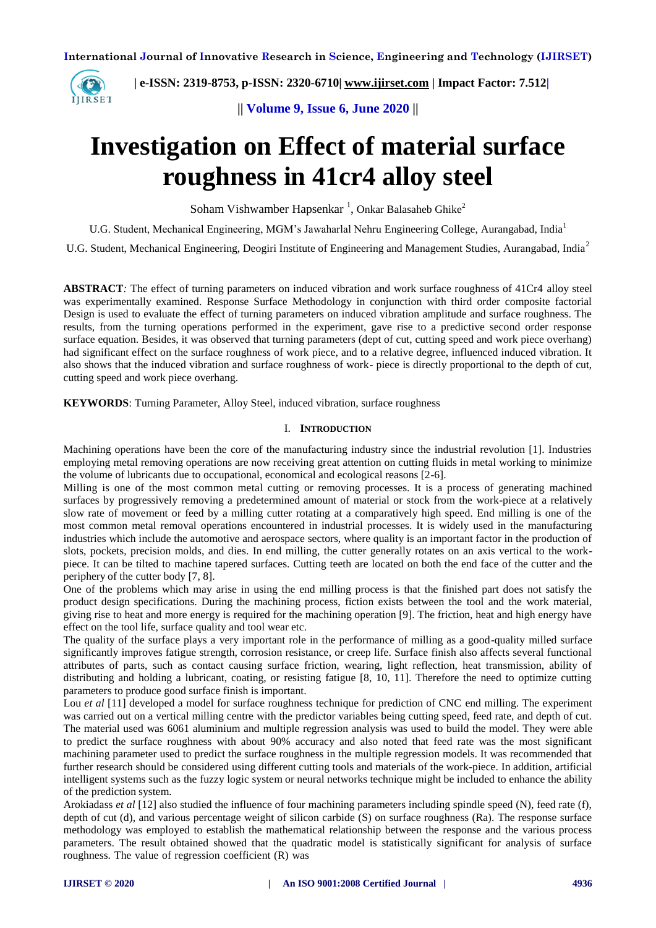

 **| e-ISSN: 2319-8753, p-ISSN: 2320-6710| [www.ijirset.com](http://www.ijirset.com/) | Impact Factor: 7.512|**

**|| Volume 9, Issue 6, June 2020 ||** 

# **Investigation on Effect of material surface roughness in 41cr4 alloy steel**

Soham Vishwamber Hapsenkar<sup>1</sup>, Onkar Balasaheb Ghike<sup>2</sup>

U.G. Student, Mechanical Engineering, MGM's Jawaharlal Nehru Engineering College, Aurangabad, India<sup>1</sup>

U.G. Student, Mechanical Engineering, Deogiri Institute of Engineering and Management Studies, Aurangabad, India<sup>2</sup>

**ABSTRACT***:* The effect of turning parameters on induced vibration and work surface roughness of 41Cr4 alloy steel was experimentally examined. Response Surface Methodology in conjunction with third order composite factorial Design is used to evaluate the effect of turning parameters on induced vibration amplitude and surface roughness. The results, from the turning operations performed in the experiment, gave rise to a predictive second order response surface equation. Besides, it was observed that turning parameters (dept of cut, cutting speed and work piece overhang) had significant effect on the surface roughness of work piece, and to a relative degree, influenced induced vibration. It also shows that the induced vibration and surface roughness of work- piece is directly proportional to the depth of cut, cutting speed and work piece overhang.

**KEYWORDS**: Turning Parameter, Alloy Steel, induced vibration, surface roughness

#### I. **INTRODUCTION**

Machining operations have been the core of the manufacturing industry since the industrial revolution [1]. Industries employing metal removing operations are now receiving great attention on cutting fluids in metal working to minimize the volume of lubricants due to occupational, economical and ecological reasons [2-6].

Milling is one of the most common metal cutting or removing processes. It is a process of generating machined surfaces by progressively removing a predetermined amount of material or stock from the work-piece at a relatively slow rate of movement or feed by a milling cutter rotating at a comparatively high speed. End milling is one of the most common metal removal operations encountered in industrial processes. It is widely used in the manufacturing industries which include the automotive and aerospace sectors, where quality is an important factor in the production of slots, pockets, precision molds, and dies. In end milling, the cutter generally rotates on an axis vertical to the workpiece. It can be tilted to machine tapered surfaces. Cutting teeth are located on both the end face of the cutter and the periphery of the cutter body [7, 8].

One of the problems which may arise in using the end milling process is that the finished part does not satisfy the product design specifications. During the machining process, fiction exists between the tool and the work material, giving rise to heat and more energy is required for the machining operation [9]. The friction, heat and high energy have effect on the tool life, surface quality and tool wear etc.

The quality of the surface plays a very important role in the performance of milling as a good-quality milled surface significantly improves fatigue strength, corrosion resistance, or creep life. Surface finish also affects several functional attributes of parts, such as contact causing surface friction, wearing, light reflection, heat transmission, ability of distributing and holding a lubricant, coating, or resisting fatigue [8, 10, 11]. Therefore the need to optimize cutting parameters to produce good surface finish is important.

Lou *et al* [11] developed a model for surface roughness technique for prediction of CNC end milling. The experiment was carried out on a vertical milling centre with the predictor variables being cutting speed, feed rate, and depth of cut. The material used was 6061 aluminium and multiple regression analysis was used to build the model. They were able to predict the surface roughness with about 90% accuracy and also noted that feed rate was the most significant machining parameter used to predict the surface roughness in the multiple regression models. It was recommended that further research should be considered using different cutting tools and materials of the work-piece. In addition, artificial intelligent systems such as the fuzzy logic system or neural networks technique might be included to enhance the ability of the prediction system.

Arokiadass *et al* [12] also studied the influence of four machining parameters including spindle speed (N), feed rate (f), depth of cut (d), and various percentage weight of silicon carbide (S) on surface roughness (Ra). The response surface methodology was employed to establish the mathematical relationship between the response and the various process parameters. The result obtained showed that the quadratic model is statistically significant for analysis of surface roughness. The value of regression coefficient (R) was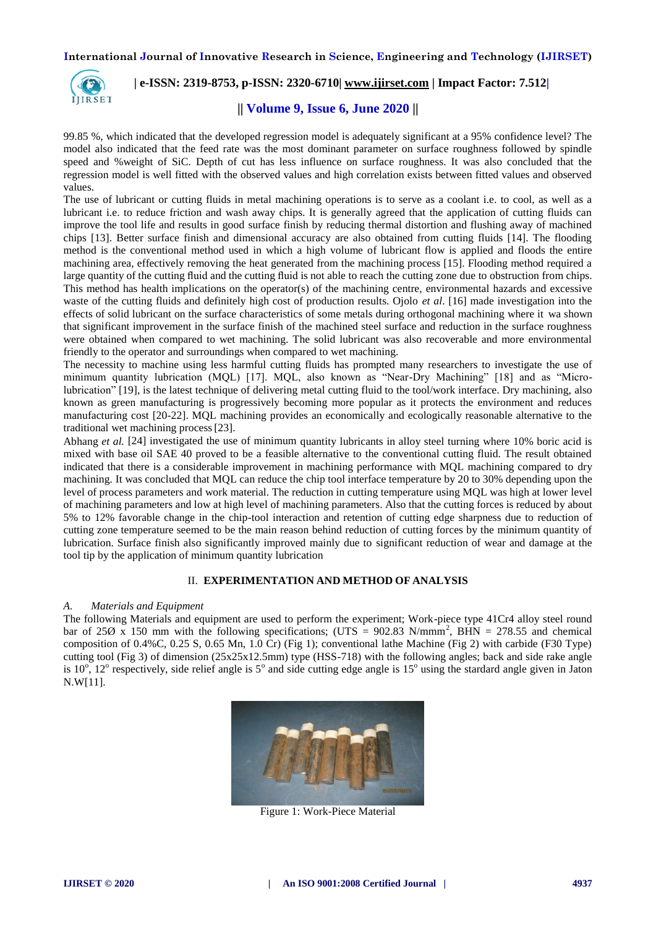

### **| e-ISSN: 2319-8753, p-ISSN: 2320-6710| [www.ijirset.com](http://www.ijirset.com/) | Impact Factor: 7.512|**

### **|| Volume 9, Issue 6, June 2020 ||**

99.85 %, which indicated that the developed regression model is adequately significant at a 95% confidence level? The model also indicated that the feed rate was the most dominant parameter on surface roughness followed by spindle speed and %weight of SiC. Depth of cut has less influence on surface roughness. It was also concluded that the regression model is well fitted with the observed values and high correlation exists between fitted values and observed values.

The use of lubricant or cutting fluids in metal machining operations is to serve as a coolant i.e. to cool, as well as a lubricant i.e. to reduce friction and wash away chips. It is generally agreed that the application of cutting fluids can improve the tool life and results in good surface finish by reducing thermal distortion and flushing away of machined chips [13]. Better surface finish and dimensional accuracy are also obtained from cutting fluids [14]. The flooding method is the conventional method used in which a high volume of lubricant flow is applied and floods the entire machining area, effectively removing the heat generated from the machining process [15]. Flooding method required a large quantity of the cutting fluid and the cutting fluid is not able to reach the cutting zone due to obstruction from chips. This method has health implications on the operator(s) of the machining centre, environmental hazards and excessive waste of the cutting fluids and definitely high cost of production results. Ojolo *et al*. [16] made investigation into the effects of solid lubricant on the surface characteristics of some metals during orthogonal machining where it wa shown that significant improvement in the surface finish of the machined steel surface and reduction in the surface roughness were obtained when compared to wet machining. The solid lubricant was also recoverable and more environmental friendly to the operator and surroundings when compared to wet machining.

The necessity to machine using less harmful cutting fluids has prompted many researchers to investigate the use of minimum quantity lubrication (MQL) [17]. MQL, also known as "Near-Dry Machining" [18] and as "Microlubrication" [19], is the latest technique of delivering metal cutting fluid to the tool/work interface. Dry machining, also known as green manufacturing is progressively becoming more popular as it protects the environment and reduces manufacturing cost [20-22]. MQL machining provides an economically and ecologically reasonable alternative to the traditional wet machining process[23].

Abhang *et al.* [24] investigated the use of minimum quantity lubricants in alloy steel turning where 10% boric acid is mixed with base oil SAE 40 proved to be a feasible alternative to the conventional cutting fluid. The result obtained indicated that there is a considerable improvement in machining performance with MQL machining compared to dry machining. It was concluded that MQL can reduce the chip tool interface temperature by 20 to 30% depending upon the level of process parameters and work material. The reduction in cutting temperature using MQL was high at lower level of machining parameters and low at high level of machining parameters. Also that the cutting forces is reduced by about 5% to 12% favorable change in the chip-tool interaction and retention of cutting edge sharpness due to reduction of cutting zone temperature seemed to be the main reason behind reduction of cutting forces by the minimum quantity of lubrication. Surface finish also significantly improved mainly due to significant reduction of wear and damage at the tool tip by the application of minimum quantity lubrication

#### II. **EXPERIMENTATION AND METHOD OF ANALYSIS**

#### *A. Materials and Equipment*

The following Materials and equipment are used to perform the experiment; Work-piece type 41Cr4 alloy steel round bar of 25 $\varnothing$  x 150 mm with the following specifications; (UTS = 902.83 N/mmm<sup>2</sup>, BHN = 278.55 and chemical composition of 0.4%C, 0.25 S, 0.65 Mn, 1.0 Cr) (Fig 1); conventional lathe Machine (Fig 2) with carbide (F30 Type) cutting tool (Fig 3) of dimension (25x25x12.5mm) type (HSS-718) with the following angles; back and side rake angle is 10<sup>°</sup>, 12<sup>°</sup> respectively, side relief angle is 5<sup>°</sup> and side cutting edge angle is 15<sup>°</sup> using the stardard angle given in Jaton N.W[11].



Figure 1: Work-Piece Material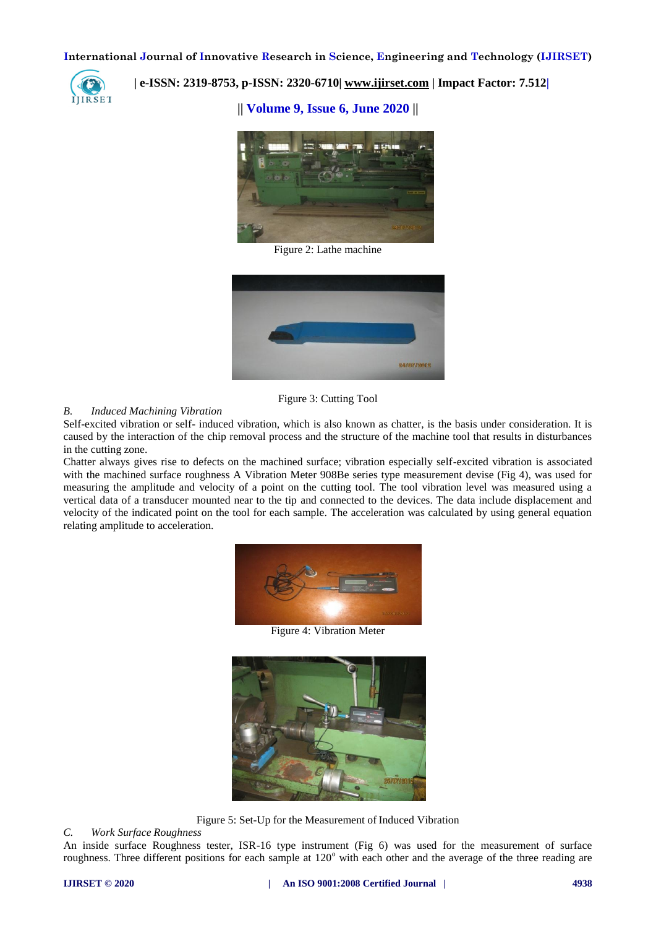

 **| e-ISSN: 2319-8753, p-ISSN: 2320-6710| [www.ijirset.com](http://www.ijirset.com/) | Impact Factor: 7.512|**

**|| Volume 9, Issue 6, June 2020 ||** 



Figure 2: Lathe machine



Figure 3: Cutting Tool

#### *B. Induced Machining Vibration*

Self-excited vibration or self- induced vibration, which is also known as chatter, is the basis under consideration. It is caused by the interaction of the chip removal process and the structure of the machine tool that results in disturbances in the cutting zone.

Chatter always gives rise to defects on the machined surface; vibration especially self-excited vibration is associated with the machined surface roughness A Vibration Meter 908Be series type measurement devise (Fig 4), was used for measuring the amplitude and velocity of a point on the cutting tool. The tool vibration level was measured using a vertical data of a transducer mounted near to the tip and connected to the devices. The data include displacement and velocity of the indicated point on the tool for each sample. The acceleration was calculated by using general equation relating amplitude to acceleration.



Figure 4: Vibration Meter



Figure 5: Set-Up for the Measurement of Induced Vibration

*C. Work Surface Roughness*

An inside surface Roughness tester, ISR-16 type instrument (Fig 6) was used for the measurement of surface roughness. Three different positions for each sample at  $120^\circ$  with each other and the average of the three reading are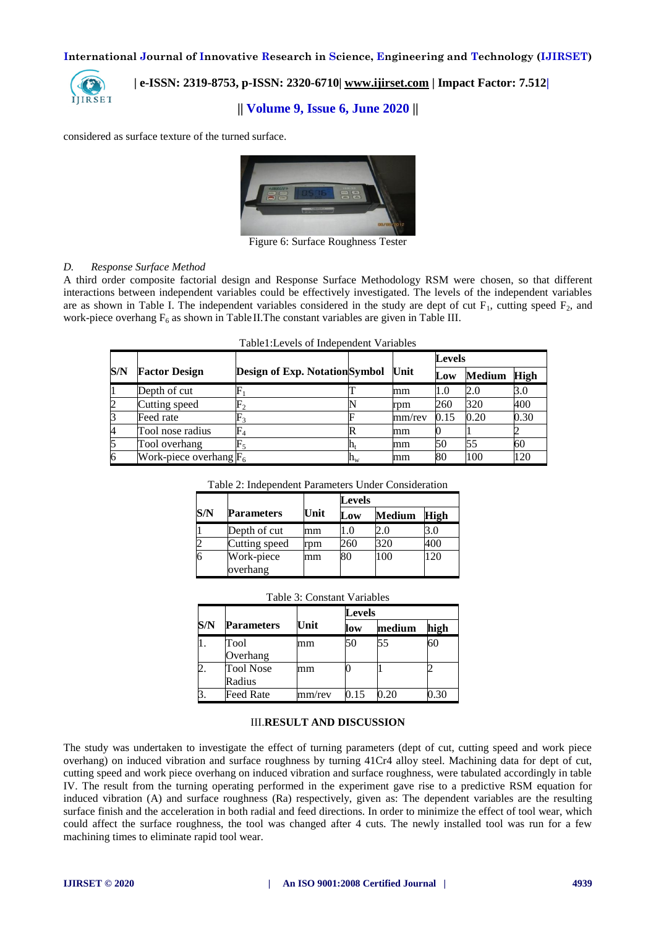

## **| e-ISSN: 2319-8753, p-ISSN: 2320-6710| [www.ijirset.com](http://www.ijirset.com/) | Impact Factor: 7.512|**

#### **|| Volume 9, Issue 6, June 2020 ||**

considered as surface texture of the turned surface.



Figure 6: Surface Roughness Tester

#### *D. Response Surface Method*

A third order composite factorial design and Response Surface Methodology RSM were chosen, so that different interactions between independent variables could be effectively investigated. The levels of the independent variables are as shown in Table I. The independent variables considered in the study are dept of cut  $F_1$ , cutting speed  $F_2$ , and work-piece overhang  $F_6$  as shown in Table II. The constant variables are given in Table III.

| Table1: Levels of Independent Variables |  |  |
|-----------------------------------------|--|--|
|-----------------------------------------|--|--|

|     |                           |                                       |                           |        | <b>Levels</b> |               |             |
|-----|---------------------------|---------------------------------------|---------------------------|--------|---------------|---------------|-------------|
| S/N | <b>Factor Design</b>      | <b>Design of Exp. Notation Symbol</b> |                           | Unit   | Low           | <b>Medium</b> | <b>High</b> |
|     | Depth of cut              |                                       |                           | mm     | 1.0           | 2.0           | 3.0         |
|     | Cutting speed             |                                       |                           | rpm    | 260           | 320           | 400         |
| 3   | Feed rate                 |                                       |                           | mm/rev | 0.15          | 0.20          | 0.30        |
| 4   | Tool nose radius          | $\mathbb{F}_4$                        |                           | mm     |               |               |             |
|     | Tool overhang             | $F_5$                                 | $\mathbf{n}_{\mathrm{t}}$ | mm     | 50            | 55            | 60          |
| 6   | Work-piece overhang $F_6$ |                                       | $\mathtt{h}_{\mathrm{w}}$ | mm     | 80            | 100           | 120         |

Table 2: Independent Parameters Under Consideration

|     |                        |      | Levels |               |             |  |
|-----|------------------------|------|--------|---------------|-------------|--|
| S/N | <b>Parameters</b>      | Unit | Low    | <b>Medium</b> | <b>High</b> |  |
|     | Depth of cut           | mm   |        | 2.0           |             |  |
|     | Cutting speed          | rpm  | 260    | 320           | 400         |  |
|     | Work-piece<br>overhang | mm   | 80     | 100           | 20          |  |

|  | Table 3: Constant Variables |  |
|--|-----------------------------|--|
|--|-----------------------------|--|

|     |                            |        | Levels |        |      |  |
|-----|----------------------------|--------|--------|--------|------|--|
| S/N | Parameters                 | Unit   | low    | medium | high |  |
|     | Tool<br>Overhang           | mm     | 50     | 55     | 60   |  |
|     | <b>Tool Nose</b><br>Radius | mm     |        |        |      |  |
|     | Feed Rate                  | mm/rev | ).15   | 20     | .30  |  |

#### III.**RESULT AND DISCUSSION**

The study was undertaken to investigate the effect of turning parameters (dept of cut, cutting speed and work piece overhang) on induced vibration and surface roughness by turning 41Cr4 alloy steel. Machining data for dept of cut, cutting speed and work piece overhang on induced vibration and surface roughness, were tabulated accordingly in table IV. The result from the turning operating performed in the experiment gave rise to a predictive RSM equation for induced vibration (A) and surface roughness (Ra) respectively, given as: The dependent variables are the resulting surface finish and the acceleration in both radial and feed directions. In order to minimize the effect of tool wear, which could affect the surface roughness, the tool was changed after 4 cuts. The newly installed tool was run for a few machining times to eliminate rapid tool wear.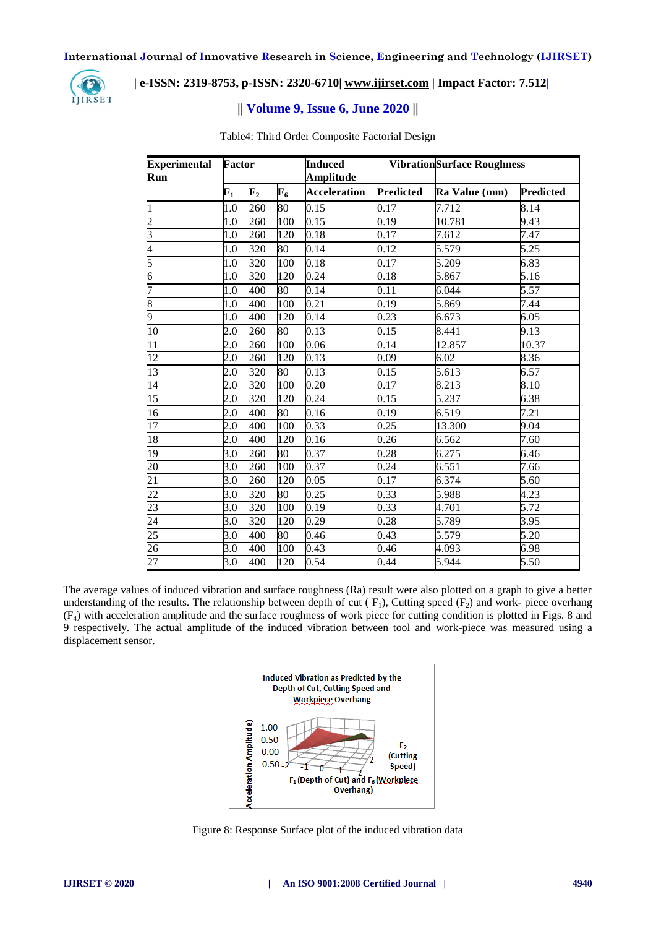

## **| e-ISSN: 2319-8753, p-ISSN: 2320-6710| [www.ijirset.com](http://www.ijirset.com/) | Impact Factor: 7.512|**

## **|| Volume 9, Issue 6, June 2020 ||**

| <b>Experimental</b><br>Run | Factor      |                | <b>Induced</b><br><b>Amplitude</b> |                     | <b>VibrationSurface Roughness</b> |               |                  |
|----------------------------|-------------|----------------|------------------------------------|---------------------|-----------------------------------|---------------|------------------|
|                            | ${\bf F_1}$ | $\mathbf{F}_2$ | ${\bf F_6}$                        | <b>Acceleration</b> | <b>Predicted</b>                  | Ra Value (mm) | <b>Predicted</b> |
| $\mathbf{1}$               | 1.0         | 260            | 80                                 | $\overline{0.15}$   | 0.17                              | 7.712         | 8.14             |
| $\overline{c}$             | 1.0         | 260            | 100                                | 0.15                | 0.19                              | 10.781        | 9.43             |
| $\overline{\mathbf{3}}$    | 1.0         | 260            | 120                                | 0.18                | 0.17                              | 7.612         | 7.47             |
| 4                          | 1.0         | 320            | 80                                 | 0.14                | 0.12                              | 5.579         | 5.25             |
| 5                          | 1.0         | 320            | 100                                | 0.18                | 0.17                              | 5.209         | 6.83             |
| $\overline{6}$             | 1.0         | 320            | 120                                | 0.24                | 0.18                              | 5.867         | 5.16             |
| 7                          | 1.0         | 400            | 80                                 | 0.14                | 0.11                              | 6.044         | 5.57             |
| 8                          | 1.0         | 400            | 100                                | 0.21                | 0.19                              | 5.869         | 7.44             |
| 9                          | 1.0         | 400            | 120                                | 0.14                | 0.23                              | 6.673         | 6.05             |
| 10                         | 2.0         | 260            | 80                                 | 0.13                | 0.15                              | 8.441         | 9.13             |
| 11                         | 2.0         | 260            | 100                                | 0.06                | 0.14                              | 12.857        | 10.37            |
| 12                         | 2.0         | 260            | 120                                | 0.13                | 0.09                              | 6.02          | 8.36             |
| 13                         | 2.0         | 320            | 80                                 | 0.13                | 0.15                              | 5.613         | 6.57             |
| 14                         | 2.0         | 320            | 100                                | 0.20                | 0.17                              | 8.213         | 8.10             |
| 15                         | 2.0         | 320            | 120                                | 0.24                | 0.15                              | 5.237         | 6.38             |
| 16                         | 2.0         | 400            | 80                                 | 0.16                | 0.19                              | 6.519         | 7.21             |
| 17                         | 2.0         | 400            | 100                                | 0.33                | 0.25                              | 13.300        | 9.04             |
| 18                         | 2.0         | 400            | 120                                | 0.16                | 0.26                              | 6.562         | 7.60             |
| 19                         | 3.0         | 260            | 80                                 | 0.37                | 0.28                              | 6.275         | 6.46             |
| $\overline{20}$            | 3.0         | 260            | 100                                | 0.37                | 0.24                              | 6.551         | 7.66             |
| $\overline{21}$            | 3.0         | 260            | 120                                | 0.05                | 0.17                              | 6.374         | 5.60             |
| 22                         | 3.0         | 320            | 80                                 | 0.25                | 0.33                              | 5.988         | 4.23             |
| 23                         | 3.0         | 320            | 100                                | 0.19                | 0.33                              | 4.701         | 5.72             |
| 24                         | 3.0         | 320            | 120                                | 0.29                | 0.28                              | 5.789         | 3.95             |
| 25                         | 3.0         | 400            | 80                                 | 0.46                | 0.43                              | 5.579         | 5.20             |
| 26                         | 3.0         | 400            | 100                                | 0.43                | 0.46                              | 4.093         | 6.98             |
| 27                         | 3.0         | 400            | 120                                | 0.54                | 0.44                              | 5.944         | 5.50             |

Table4: Third Order Composite Factorial Design

The average values of induced vibration and surface roughness (Ra) result were also plotted on a graph to give a better understanding of the results. The relationship between depth of cut  $(F_1)$ , Cutting speed  $(F_2)$  and work- piece overhang (F4) with acceleration amplitude and the surface roughness of work piece for cutting condition is plotted in Figs. 8 and respectively. The actual amplitude of the induced vibration between tool and work-piece was measured using a displacement sensor.



Figure 8: Response Surface plot of the induced vibration data